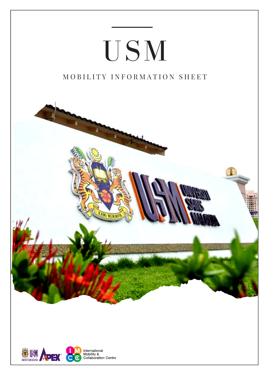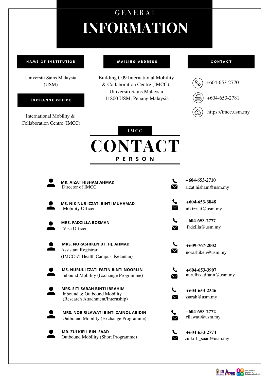# **CONTACT P E R S O N**



### **I M C C**

# **INFORMATION** G E N E R A L

### **NAME OF INSTITUTION**

**MAILING ADDRESS** 

### **CONTACT**

Universiti Sains Malaysia (USM)

EXCHANGE OFFICE

International Mobility & Collaboration Centre (IMCC)



Building C09 International Mobility & Collaboration Centre (IMCC), Universiti Sains Malaysia 11800 USM, Penang Malaysia

**MR. AIZAT HISHAM AHMAD** Director of IMCC



**MS. NIK NUR IZZATI BINTI MUHAMAD** Mobility Officer



**+604‐653‐3848**

**+604‐653‐2710**  $\blacktriangledown$ aizat.hisham@usm.my

> **+604‐653‐2777** fadzilla@usm.my







 $\boldsymbol{\vee}$ 

Outbound Mobility (Short Programme)

**+604‐653‐2774** zulkifli\_saad@usm.my







**+609-767-2002** norashiken@usm.my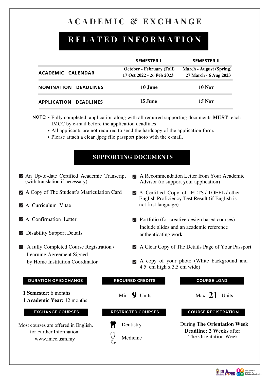- An Up‐to‐date Certified Academic Transcript (with translation if necessary)
- A Copy of The Student's Matriculation Card
- A Curriculum Vitae
- A Confirmation Letter
- **Disability Support Details**
- A fully Completed Course Registration / Learning Agreement Signed

### by Home Institution Coordinator

## **A C A D E M I C**Re**&**lated**E X C H A N G E**

## **R E L A T E D I N F O R M A T I O N**

- A Recommendation Letter from Your Academic  $\blacktriangledown$ Advisor (to support your application)
- A Certified Copy of IELTS / TOEFL / other English Proficiency Test Result (if English is not first language)
- **Portfolio** (for creative design based courses) Include slides and an academic reference authenticating work
- A Clear Copy of The Details Page of Your Passport
- 

A copy of your photo (White background and 4.5 cm high x 3.5 cm wide)

|                             | <b>SEMESTER I</b>                                             | <b>SEMESTER II</b>                                      |
|-----------------------------|---------------------------------------------------------------|---------------------------------------------------------|
| ACADEMIC CALENDAR           | <b>October - February (Fall)</b><br>17 Oct 2022 - 26 Feb 2023 | <b>March - August (Spring)</b><br>27 March - 6 Aug 2023 |
| <b>NOMINATION DEADLINES</b> | 10 June                                                       | <b>10 Nov</b>                                           |
| APPLICATION DEADLINES       | 15 June                                                       | $15$ Nov                                                |

- **NOTE:** Fully completed application along with all required supporting documents **MUST** reach IMCC by e-mail before the application deadlines.
	-
	- All applicants are not required to send the hardcopy of the application form.
	- Please attach a clear .jpeg file passport photo with the e-mail.

## **SUPPORTING DOCUMENTS**



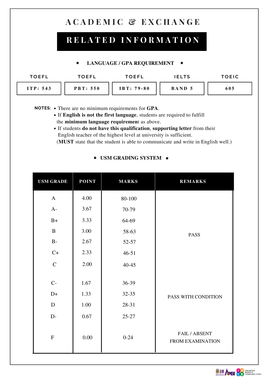- NOTES: There are no minimum requirements for GPA.
	- If **English is not the first language**, students are required to fulfill the **minimum language requiremen**t as above.
	- If students **do not have this qualification**, **supporting letter** from their

English teacher of the highest level at university is sufficient. (**MUST** state that the student is able to communicate and write in English well.)

## $\blacksquare$  **USM GRADING SYSTEM**  $\blacksquare$

| <b>USM GRADE</b> | POINT | MARKS     | REMARKS                                  |  |
|------------------|-------|-----------|------------------------------------------|--|
| $\bm{A}$         | 4.00  | 80-100    |                                          |  |
| $A-$             | 3.67  | 70-79     |                                          |  |
| $B+$             | 3.33  | 64-69     | <b>PASS</b>                              |  |
| B                | 3.00  | 58-63     |                                          |  |
| $B-$             | 2.67  | 52-57     |                                          |  |
| $C+$             | 2.33  | $46 - 51$ |                                          |  |
| $\mathsf{C}$     | 2.00  | 40-45     |                                          |  |
| $C-$             |       |           |                                          |  |
|                  | 1.67  | 36-39     |                                          |  |
| $D+$             | 1.33  | 32-35     | PASS WITH CONDITION                      |  |
|                  | 1.00  | 28-31     |                                          |  |
| $D-$             | 0.67  | $25 - 27$ |                                          |  |
| F                | 0.00  | $0-24$    | FAIL / ABSENT<br><b>FROM EXAMINATION</b> |  |



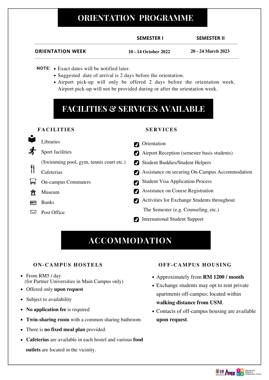- Airport Reception (semester basis students) M
- **Z** Student Buddies/Student Helpers
- Assistance on securing On‐Campus Accommodation
- Student Visa Application Process IJ
- Assistance on Course Registration  $\overline{\mathcal{U}}$
- Activities for Exchange Students throughout M

**outlets** are located in the vicinity.

- Approximately from **RM 1200 / month**
- Exchange students may opt to rent private apartments off-campus; located within **walking distance from USM**.
- Contacts of off-campus housing are available **upon request**.



International Student Support M

- **NOTE:** Exact dates will be notified later.
	- Suggested date of arrival is 2 days before the orientation.
	- Airport pick-up will only be offered 2 days before the orientation week. Airport pick‐up will not be provided during or after the orientation week.

- On‐campus Commuters اطرا
- Museum 倫
- Banks <u>last</u>
- Post Office  $\boxtimes$

### **Orientation**  $\overline{\mathcal{U}}$

The Semester (e.g. Counseling, etc.)

- Libraries
- Sport facilities



## **FACILITIES & SERVICES AVAILABLE**

## **ACCOMMODATION**



### **FACILITIES**

## **ON-CAMPUS HOSTELS**

- From RM5 / day (for Partner Universities in Main Campus only)
- Offered only **upon request**
- Subject to availability
- **No application fee** is required  $\bullet$
- **Twin‐sharing room** with a common sharing bathroom
- There is **no fixed meal plan** provided.  $\bullet$
- **Cafeterias** are available in each hostel and various **food**  $\bullet$

### **SERVICES**

## **OFF-CAMPUS HOUS ING**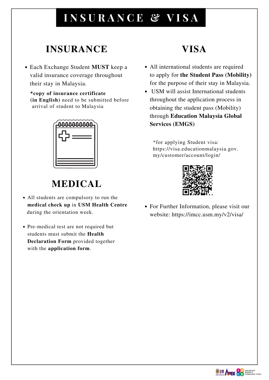- All international students are required to apply for **the Student Pass (Mobility)** for the purpose of their stay in Malaysia.
- USM will assist International students throughout the application process in obtaining the student pass (Mobility) through **Education Malaysia Global Services (EMGS)**

For Further Information, please visit our website: https://imcc.usm.my/v2/visa/



# **I N S U R A N C E & V I S A**

## **INSURANCE VISA**

## **MEDICAL**

Each Exchange Student **MUST** keep a valid insurance coverage throughout their stay in Malaysia.

**\*copy of insurance certificate (in English)** need to be submitted before arrival of student to Malaysia



- All students are compulsory to run the **medical check up** in **USM Health Centre** during the orientation week.
- Pre-medical test are not required but students must submit the **Health Declaration Form** provided together with the **application form**.

\*for applying Student visa: https://visa.educationmalaysia.gov. my/customer/account/login/